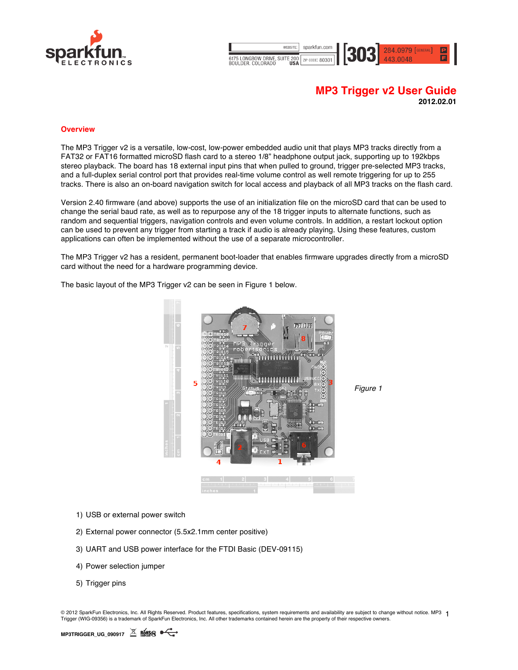

WEBSITE sparkfun.com 284.0979 [GENERAL] 6175 LONGBOW DRIVE, SUITE 200 ZIP CODE: 80301

# **MP3 Trigger v2 User Guide 2012.02.01**

#### **Overview**

The MP3 Trigger v2 is a versatile, low-cost, low-power embedded audio unit that plays MP3 tracks directly from a FAT32 or FAT16 formatted microSD flash card to a stereo 1/8" headphone output jack, supporting up to 192kbps stereo playback. The board has 18 external input pins that when pulled to ground, trigger pre-selected MP3 tracks, and a full-duplex serial control port that provides real-time volume control as well remote triggering for up to 255 tracks. There is also an on-board navigation switch for local access and playback of all MP3 tracks on the flash card.

Version 2.40 firmware (and above) supports the use of an initialization file on the microSD card that can be used to change the serial baud rate, as well as to repurpose any of the 18 trigger inputs to alternate functions, such as random and sequential triggers, navigation controls and even volume controls. In addition, a restart lockout option can be used to prevent any trigger from starting a track if audio is already playing. Using these features, custom applications can often be implemented without the use of a separate microcontroller.

The MP3 Trigger v2 has a resident, permanent boot-loader that enables firmware upgrades directly from a microSD card without the need for a hardware programming device.



The basic layout of the MP3 Trigger v2 can be seen in Figure 1 below.

- 1) USB or external power switch
- 2) External power connector (5.5x2.1mm center positive)
- 3) UART and USB power interface for the FTDI Basic (DEV-09115)
- 4) Power selection jumper
- 5) Trigger pins

© 2012 SparkFun Electronics, Inc. All Rights Reserved. Product features, specifications, system requirements and availability are subject to change without notice. MP3 1 Trigger (WIG-09356) is a trademark of SparkFun Electronics, Inc. All other trademarks contained herein are the property of their respective owners.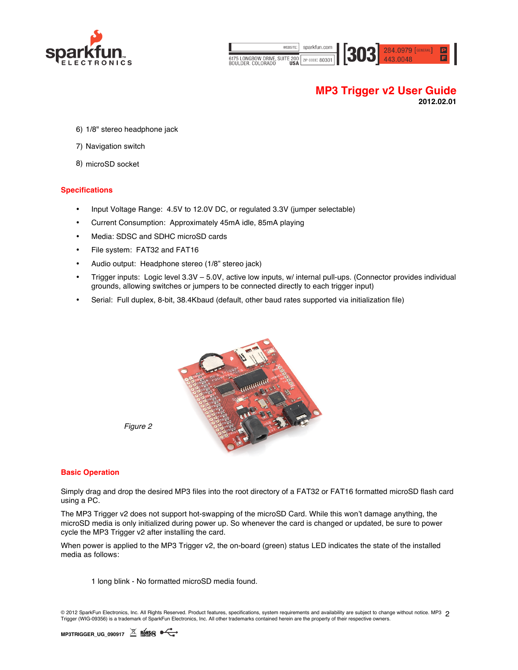

| WEBSITE:                                   | sparkfun.com    |  |
|--------------------------------------------|-----------------|--|
| 6175 LONGBOW DRIVE, SUITE 200<br>DAIII NED | ZIP CODE: 80301 |  |



# **MP3 Trigger v2 User Guide 2012.02.01**

- 6) 1/8" stereo headphone jack
- 7) Navigation switch
- 8) microSD socket

### **Specifications**

- Input Voltage Range: 4.5V to 12.0V DC, or regulated 3.3V (jumper selectable)
- Current Consumption: Approximately 45mA idle, 85mA playing
- Media: SDSC and SDHC microSD cards
- File system: FAT32 and FAT16
- Audio output: Headphone stereo (1/8" stereo jack)
- Trigger inputs: Logic level 3.3V 5.0V, active low inputs, w/ internal pull-ups. (Connector provides individual grounds, allowing switches or jumpers to be connected directly to each trigger input)
- Serial: Full duplex, 8-bit, 38.4Kbaud (default, other baud rates supported via initialization file)



### **Basic Operation**

Simply drag and drop the desired MP3 files into the root directory of a FAT32 or FAT16 formatted microSD flash card using a PC.

The MP3 Trigger v2 does not support hot-swapping of the microSD Card. While this won't damage anything, the microSD media is only initialized during power up. So whenever the card is changed or updated, be sure to power cycle the MP3 Trigger v2 after installing the card.

When power is applied to the MP3 Trigger v2, the on-board (green) status LED indicates the state of the installed media as follows:

1 long blink - No formatted microSD media found.

© 2012 SparkFun Electronics, Inc. All Rights Reserved. Product features, specifications, system requirements and availability are subject to change without notice. MP3 2<br>Triaces 04/IC 00050 is o traduction of the subject t Trigger (WIG-09356) is a trademark of SparkFun Electronics, Inc. All other trademarks contained herein are the property of their respective owners.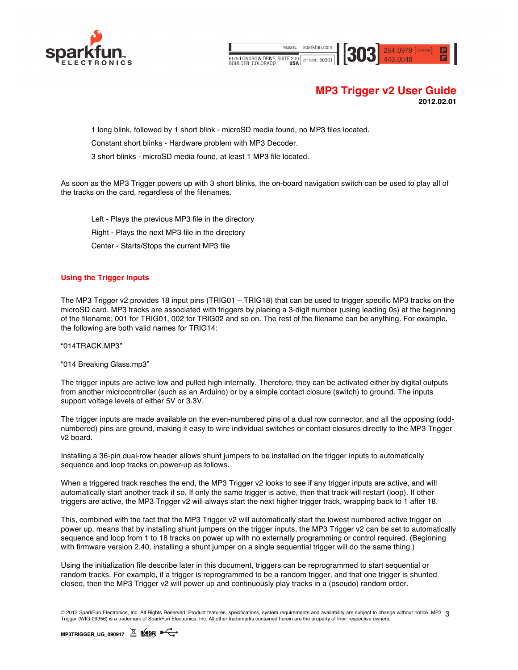

sparkfun.com 284.0979 [GENERAL] 303 6175 LONGBOW DRIVE, SUITE 200 ZIP CODE: 80301

# **MP3 Trigger v2 User Guide 2012.02.01**

1 long blink, followed by 1 short blink - microSD media found, no MP3 files located.

Constant short blinks - Hardware problem with MP3 Decoder.

3 short blinks - microSD media found, at least 1 MP3 file located.

As soon as the MP3 Trigger powers up with 3 short blinks, the on-board navigation switch can be used to play all of the tracks on the card, regardless of the filenames.

Left - Plays the previous MP3 file in the directory Right - Plays the next MP3 file in the directory Center - Starts/Stops the current MP3 file

### **Using the Trigger Inputs**

The MP3 Trigger v2 provides 18 input pins (TRIG01 – TRIG18) that can be used to trigger specific MP3 tracks on the microSD card. MP3 tracks are associated with triggers by placing a 3-digit number (using leading 0s) at the beginning of the filename; 001 for TRIG01, 002 for TRIG02 and so on. The rest of the filename can be anything. For example, the following are both valid names for TRIG14:

### "014TRACK.MP3"

"014 Breaking Glass.mp3"

The trigger inputs are active low and pulled high internally. Therefore, they can be activated either by digital outputs from another microcontroller (such as an Arduino) or by a simple contact closure (switch) to ground. The inputs support voltage levels of either 5V or 3.3V.

The trigger inputs are made available on the even-numbered pins of a dual row connector, and all the opposing (oddnumbered) pins are ground, making it easy to wire individual switches or contact closures directly to the MP3 Trigger v2 board.

Installing a 36-pin dual-row header allows shunt jumpers to be installed on the trigger inputs to automatically sequence and loop tracks on power-up as follows.

When a triggered track reaches the end, the MP3 Trigger v2 looks to see if any trigger inputs are active, and will automatically start another track if so. If only the same trigger is active, then that track will restart (loop). If other triggers are active, the MP3 Trigger v2 will always start the next higher trigger track, wrapping back to 1 after 18.

This, combined with the fact that the MP3 Trigger v2 will automatically start the lowest numbered active trigger on power up, means that by installing shunt jumpers on the trigger inputs, the MP3 Trigger v2 can be set to automatically sequence and loop from 1 to 18 tracks on power up with no externally programming or control required. (Beginning with firmware version 2.40, installing a shunt jumper on a single sequential trigger will do the same thing.)

Using the initialization file describe later in this document, triggers can be reprogrammed to start sequential or random tracks. For example, if a trigger is reprogrammed to be a random trigger, and that one trigger is shunted closed, then the MP3 Trigger v2 will power up and continuously play tracks in a (pseudo) random order.

© 2012 SparkFun Electronics, Inc. All Rights Reserved. Product features, specifications, system requirements and availability are subject to change without notice. MP3 3 Trigger (WIG-09356) is a trademark of SparkFun Electronics, Inc. All other trademarks contained herein are the property of their respective owners.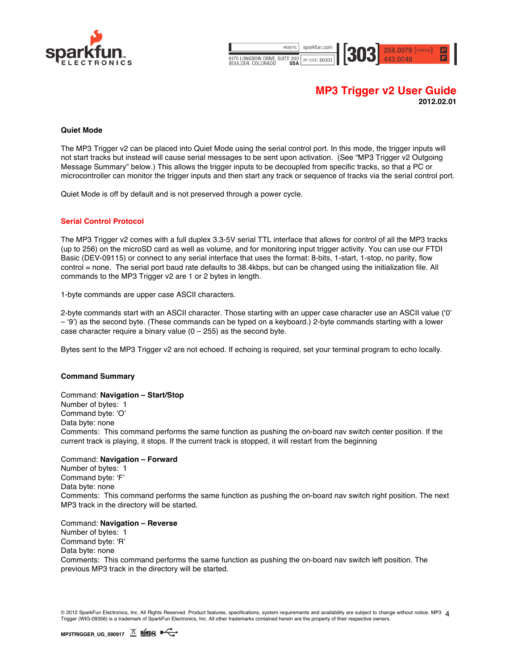

WEBSITE sparkfun.com 284.0979 [GENERAL] 303 6175 LONGBOW DRIVE, SUITE 200 ZIP CODE: 80301

# **MP3 Trigger v2 User Guide 2012.02.01**

### **Quiet Mode**

The MP3 Trigger v2 can be placed into Quiet Mode using the serial control port. In this mode, the trigger inputs will not start tracks but instead will cause serial messages to be sent upon activation. (See "MP3 Trigger v2 Outgoing Message Summary" below.) This allows the trigger inputs to be decoupled from specific tracks, so that a PC or microcontroller can monitor the trigger inputs and then start any track or sequence of tracks via the serial control port.

Quiet Mode is off by default and is not preserved through a power cycle.

### **Serial Control Protocol**

The MP3 Trigger v2 comes with a full duplex 3.3-5V serial TTL interface that allows for control of all the MP3 tracks (up to 256) on the microSD card as well as volume, and for monitoring input trigger activity. You can use our FTDI Basic (DEV-09115) or connect to any serial interface that uses the format: 8-bits, 1-start, 1-stop, no parity, flow control = none. The serial port baud rate defaults to 38.4kbps, but can be changed using the initialization file. All commands to the MP3 Trigger v2 are 1 or 2 bytes in length.

1-byte commands are upper case ASCII characters.

2-byte commands start with an ASCII character. Those starting with an upper case character use an ASCII value ('0' – '9') as the second byte. (These commands can be typed on a keyboard.) 2-byte commands starting with a lower case character require a binary value  $(0 - 255)$  as the second byte.

Bytes sent to the MP3 Trigger v2 are not echoed. If echoing is required, set your terminal program to echo locally.

### **Command Summary**

### Command: **Navigation – Start/Stop**

Number of bytes: 1 Command byte: 'O' Data byte: none Comments: This command performs the same function as pushing the on-board nav switch center position. If the current track is playing, it stops. If the current track is stopped, it will restart from the beginning

### Command: **Navigation – Forward**

Number of bytes: 1 Command byte: 'F' Data byte: none Comments: This command performs the same function as pushing the on-board nav switch right position. The next MP3 track in the directory will be started.

#### Command: **Navigation – Reverse**

Number of bytes: 1 Command byte: 'R' Data byte: none Comments: This command performs the same function as pushing the on-board nav switch left position. The previous MP3 track in the directory will be started.

© 2012 SparkFun Electronics, Inc. All Rights Reserved. Product features, specifications, system requirements and availability are subject to change without notice. MP3 4<br>Trians ANIC ORDER is o tradement of SpatsFus Flasten Trigger (WIG-09356) is a trademark of SparkFun Electronics, Inc. All other trademarks contained herein are the property of their respective owners.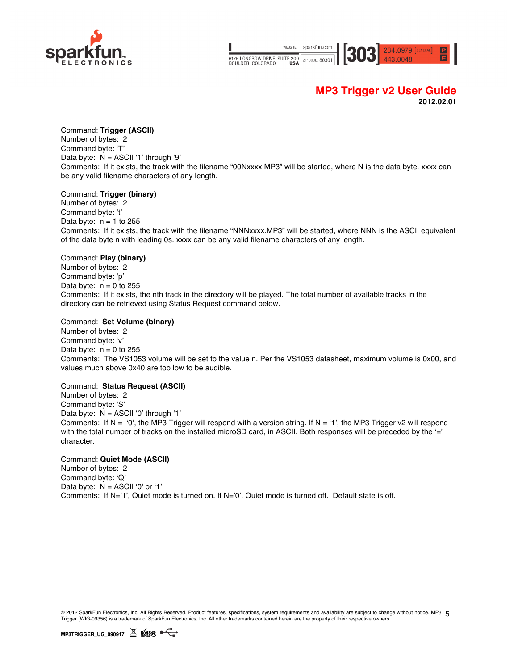

WEBSITE sparkfun.com 6175 LONGBOW DRIVE, SUITE 200 ZIP CODE: 80301



### **MP3 Trigger v2 User Guide 2012.02.01**

### Command: **Trigger (ASCII)**

Number of bytes: 2 Command byte: 'T' Data byte: N = ASCII '1' through '9' Comments: If it exists, the track with the filename "00Nxxxx.MP3" will be started, where N is the data byte. xxxx can be any valid filename characters of any length.

### Command: **Trigger (binary)**

Number of bytes: 2 Command byte: 't' Data byte:  $n = 1$  to 255 Comments: If it exists, the track with the filename "NNNxxxx.MP3" will be started, where NNN is the ASCII equivalent of the data byte n with leading 0s. xxxx can be any valid filename characters of any length.

### Command: **Play (binary)**

Number of bytes: 2 Command byte: 'p' Data byte:  $n = 0$  to 255 Comments: If it exists, the nth track in the directory will be played. The total number of available tracks in the directory can be retrieved using Status Request command below.

### Command: **Set Volume (binary)**

Number of bytes: 2 Command byte: 'v' Data byte:  $n = 0$  to 255 Comments: The VS1053 volume will be set to the value n. Per the VS1053 datasheet, maximum volume is 0x00, and values much above 0x40 are too low to be audible.

### Command: **Status Request (ASCII)**

Number of bytes: 2 Command byte: 'S' Data byte: N = ASCII '0' through '1' Comments: If  $N = '0'$ , the MP3 Trigger will respond with a version string. If  $N = '1'$ , the MP3 Trigger v2 will respond with the total number of tracks on the installed microSD card, in ASCII. Both responses will be preceded by the '=' character.

### Command: **Quiet Mode (ASCII)**

Number of bytes: 2 Command byte: 'Q' Data byte:  $N = ASCII'0'$  or '1' Comments: If N='1', Quiet mode is turned on. If N='0', Quiet mode is turned off. Default state is off.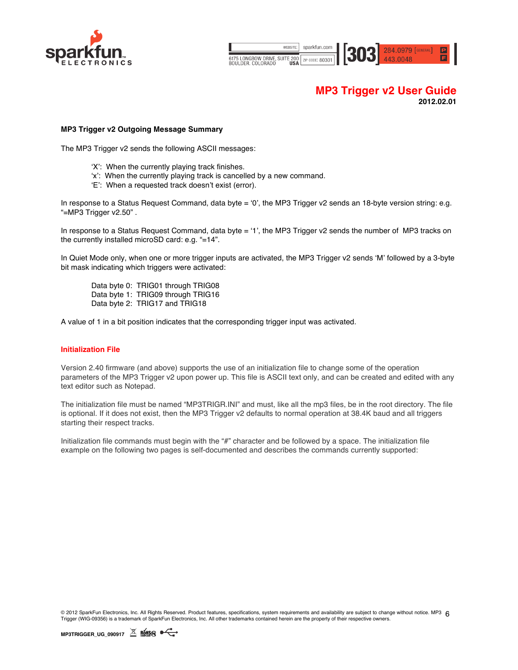

WEBSITE sparkfun.com 284.0979 [GENERAL] 303 6175 LONGBOW DRIVE, SUITE 200 ZIP CODE: 80301

# **MP3 Trigger v2 User Guide 2012.02.01**

### **MP3 Trigger v2 Outgoing Message Summary**

The MP3 Trigger v2 sends the following ASCII messages:

- 'X': When the currently playing track finishes.
- 'x': When the currently playing track is cancelled by a new command.
- 'E': When a requested track doesn't exist (error).

In response to a Status Request Command, data byte = '0', the MP3 Trigger v2 sends an 18-byte version string: e.g. "=MP3 Trigger v2.50" .

In response to a Status Request Command, data byte = '1', the MP3 Trigger v2 sends the number of MP3 tracks on the currently installed microSD card: e.g. "=14".

In Quiet Mode only, when one or more trigger inputs are activated, the MP3 Trigger v2 sends 'M' followed by a 3-byte bit mask indicating which triggers were activated:

Data byte 0: TRIG01 through TRIG08 Data byte 1: TRIG09 through TRIG16 Data byte 2: TRIG17 and TRIG18

A value of 1 in a bit position indicates that the corresponding trigger input was activated.

### **Initialization File**

Version 2.40 firmware (and above) supports the use of an initialization file to change some of the operation parameters of the MP3 Trigger v2 upon power up. This file is ASCII text only, and can be created and edited with any text editor such as Notepad.

The initialization file must be named "MP3TRIGR.INI" and must, like all the mp3 files, be in the root directory. The file is optional. If it does not exist, then the MP3 Trigger v2 defaults to normal operation at 38.4K baud and all triggers starting their respect tracks.

Initialization file commands must begin with the "#" character and be followed by a space. The initialization file example on the following two pages is self-documented and describes the commands currently supported:

© 2012 SparkFun Electronics, Inc. All Rights Reserved. Product features, specifications, system requirements and availability are subject to change without notice. MP3 6<br>Triansa (NIC QQCG) is o traduction in Subject Trians Trigger (WIG-09356) is a trademark of SparkFun Electronics, Inc. All other trademarks contained herein are the property of their respective owners.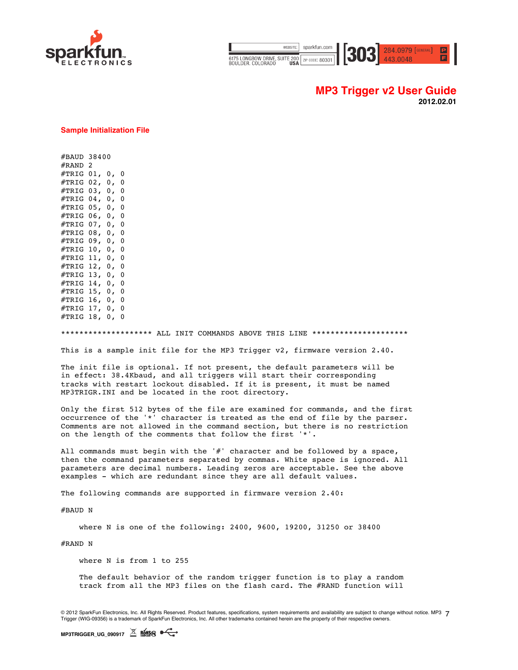

| WEBSITE: I                                          | sparkfun.com |  |
|-----------------------------------------------------|--------------|--|
| 3175 LONGBOW DRIVE, SUITE 200   ZIP CODE: 80301   F |              |  |

**MP3 Trigger v2 User Guide 2012.02.01**

 $284.0979$  [GENERAL]

#### **Sample Initialization File**

#BAUD 38400 #RAND 2 #TRIG 01, 0, 0 #TRIG 02, 0, 0 #TRIG 03, 0, 0 #TRIG 04, 0, 0 #TRIG 05, 0, 0 #TRIG 06, 0, 0 #TRIG 07, 0, 0 #TRIG 08, 0, 0 #TRIG 09, 0, 0 #TRIG 10, 0, 0 #TRIG 11, 0, 0 #TRIG 12, 0, 0 #TRIG 13, 0, 0 #TRIG 14, 0, 0 #TRIG 15, 0, 0 #TRIG 16, 0, 0 #TRIG 17, 0, 0 #TRIG 18, 0, 0

\*\*\*\*\*\*\*\*\*\*\*\*\*\*\*\*\*\*\*\* ALL INIT COMMANDS ABOVE THIS LINE \*\*\*\*\*\*\*\*\*

This is a sample init file for the MP3 Trigger v2, firmware version 2.40.

The init file is optional. If not present, the default parameters will be in effect: 38.4Kbaud, and all triggers will start their corresponding tracks with restart lockout disabled. If it is present, it must be named MP3TRIGR.INI and be located in the root directory.

Only the first 512 bytes of the file are examined for commands, and the first occurrence of the '\*' character is treated as the end of file by the parser. Comments are not allowed in the command section, but there is no restriction on the length of the comments that follow the first '\*'.

All commands must begin with the '#' character and be followed by a space, then the command parameters separated by commas. White space is ignored. All parameters are decimal numbers. Leading zeros are acceptable. See the above examples - which are redundant since they are all default values.

The following commands are supported in firmware version 2.40:

#BAUD N

where N is one of the following: 2400, 9600, 19200, 31250 or 38400

#RAND N

where N is from 1 to 255

The default behavior of the random trigger function is to play a random track from all the MP3 files on the flash card. The #RAND function will

© 2012 SparkFun Electronics, Inc. All Rights Reserved. Product features, specifications, system requirements and availability are subject to change without notice. MP3 7 Trigger (WIG-09356) is a trademark of SparkFun Electronics, Inc. All other trademarks contained herein are the property of their respective owners.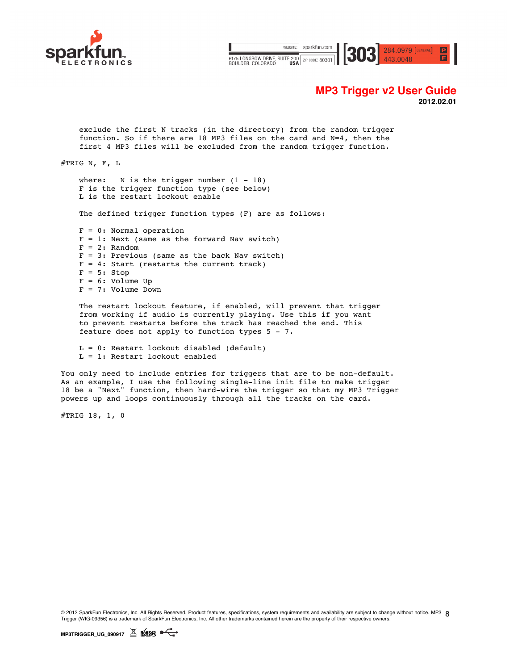



# **MP3 Trigger v2 User Guide**

**2012.02.01**

exclude the first N tracks (in the directory) from the random trigger function. So if there are 18 MP3 files on the card and N=4, then the first 4 MP3 files will be excluded from the random trigger function.

#TRIG N, F, L

where:  $N$  is the trigger number  $(1 - 18)$ F is the trigger function type (see below) L is the restart lockout enable

The defined trigger function types (F) are as follows:

F = 0: Normal operation  $F = 1$ : Next (same as the forward Nav switch)  $F = 2:$  Random  $F = 3$ : Previous (same as the back Nav switch)  $F = 4$ : Start (restarts the current track)  $F = 5:$  Stop  $F = 6:$  Volume Up F = 7: Volume Down

The restart lockout feature, if enabled, will prevent that trigger from working if audio is currently playing. Use this if you want to prevent restarts before the track has reached the end. This feature does not apply to function types 5 - 7.

L = 0: Restart lockout disabled (default) L = 1: Restart lockout enabled

You only need to include entries for triggers that are to be non-default. As an example, I use the following single-line init file to make trigger 18 be a "Next" function, then hard-wire the trigger so that my MP3 Trigger powers up and loops continuously through all the tracks on the card.

#TRIG 18, 1, 0

© 2012 SparkFun Electronics, Inc. All Rights Reserved. Product features, specifications, system requirements and availability are subject to change without notice. MP3 8 Trigger (WIG-09356) is a trademark of SparkFun Electronics, Inc. All other trademarks contained herein are the property of their respective owners.